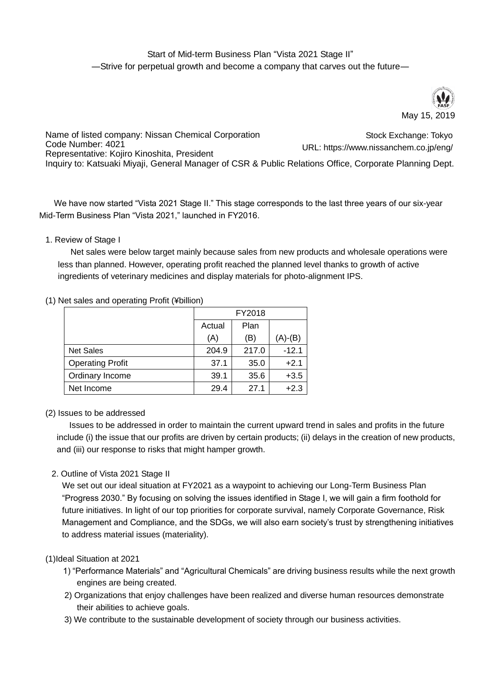# Start of Mid-term Business Plan "Vista 2021 Stage II" ―Strive for perpetual growth and become a company that carves out the future―



Name of listed company: Nissan Chemical Corporation Code Number: 4021 Representative: Kojiro Kinoshita, President Inquiry to: Katsuaki Miyaji, General Manager of CSR & Public Relations Office, Corporate Planning Dept. Stock Exchange: Tokyo URL: https://www.nissanchem.co.jp/eng/

We have now started "Vista 2021 Stage II." This stage corresponds to the last three years of our six-year Mid-Term Business Plan "Vista 2021," launched in FY2016.

### 1. Review of Stage I

Net sales were below target mainly because sales from new products and wholesale operations were less than planned. However, operating profit reached the planned level thanks to growth of active ingredients of veterinary medicines and display materials for photo-alignment IPS.

#### (1) Net sales and operating Profit (¥billion)

|                         | FY2018 |       |         |
|-------------------------|--------|-------|---------|
|                         | Actual | Plan  |         |
|                         | (A)    | (B)   | (A)-(B) |
| <b>Net Sales</b>        | 204.9  | 217.0 | $-12.1$ |
| <b>Operating Profit</b> | 37.1   | 35.0  | $+2.1$  |
| Ordinary Income         | 39.1   | 35.6  | $+3.5$  |
| Net Income              | 29.4   | 27.1  | $+2.3$  |

### (2) Issues to be addressed

Issues to be addressed in order to maintain the current upward trend in sales and profits in the future include (i) the issue that our profits are driven by certain products; (ii) delays in the creation of new products, and (iii) our response to risks that might hamper growth.

### 2. Outline of Vista 2021 Stage II

We set out our ideal situation at FY2021 as a waypoint to achieving our Long-Term Business Plan "Progress 2030." By focusing on solving the issues identified in Stage I, we will gain a firm foothold for future initiatives. In light of our top priorities for corporate survival, namely Corporate Governance, Risk Management and Compliance, and the SDGs, we will also earn society's trust by strengthening initiatives to address material issues (materiality).

### (1)Ideal Situation at 2021

- 1) "Performance Materials" and "Agricultural Chemicals" are driving business results while the next growth engines are being created.
- 2) Organizations that enjoy challenges have been realized and diverse human resources demonstrate their abilities to achieve goals.
- 3) We contribute to the sustainable development of society through our business activities.